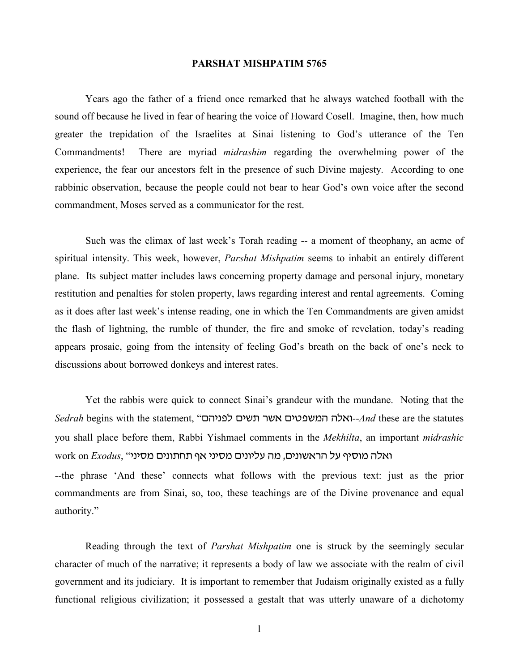## **PARSHAT MISHPATIM 5765**

Years ago the father of a friend once remarked that he always watched football with the sound off because he lived in fear of hearing the voice of Howard Cosell. Imagine, then, how much greater the trepidation of the Israelites at Sinai listening to God's utterance of the Ten Commandments! There are myriad *midrashim* regarding the overwhelming power of the experience, the fear our ancestors felt in the presence of such Divine majesty. According to one rabbinic observation, because the people could not bear to hear God's own voice after the second commandment, Moses served as a communicator for the rest.

Such was the climax of last week's Torah reading -- a moment of theophany, an acme of spiritual intensity. This week, however, *Parshat Mishpatim* seems to inhabit an entirely different plane. Its subject matter includes laws concerning property damage and personal injury, monetary restitution and penalties for stolen property, laws regarding interest and rental agreements. Coming as it does after last week's intense reading, one in which the Ten Commandments are given amidst the flash of lightning, the rumble of thunder, the fire and smoke of revelation, today's reading appears prosaic, going from the intensity of feeling God's breath on the back of one's neck to discussions about borrowed donkeys and interest rates.

Yet the rabbis were quick to connect Sinai's grandeur with the mundane. Noting that the *Sedrah* begins with the statement, "ovhbpk oha, rat ohypanv vktu--*And* these are the statutes you shall place before them, Rabbi Yishmael comments in the *Mekhilta*, an important *midrashic* work on *Exodus*, "ואלה מוסיף על הראשונים, מה עליונים מסיני אף תחתונים מסיני --the phrase 'And these' connects what follows with the previous text: just as the prior commandments are from Sinai, so, too, these teachings are of the Divine provenance and equal

authority."

Reading through the text of *Parshat Mishpatim* one is struck by the seemingly secular character of much of the narrative; it represents a body of law we associate with the realm of civil government and its judiciary. It is important to remember that Judaism originally existed as a fully functional religious civilization; it possessed a gestalt that was utterly unaware of a dichotomy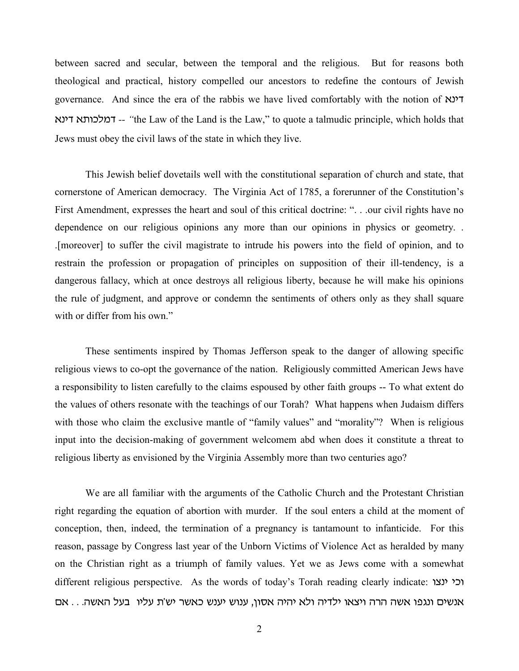between sacred and secular, between the temporal and the religious. But for reasons both theological and practical, history compelled our ancestors to redefine the contours of Jewish governance. And since the era of the rabbis we have lived comfortably with the notion of  $\mathbb{R}^3$ tbhs t,ufkns *-- "*the Law of the Land is the Law," to quote a talmudic principle, which holds that Jews must obey the civil laws of the state in which they live.

This Jewish belief dovetails well with the constitutional separation of church and state, that cornerstone of American democracy. The Virginia Act of 1785, a forerunner of the Constitution's First Amendment, expresses the heart and soul of this critical doctrine: ". . .our civil rights have no dependence on our religious opinions any more than our opinions in physics or geometry. . .[moreover] to suffer the civil magistrate to intrude his powers into the field of opinion, and to restrain the profession or propagation of principles on supposition of their ill-tendency, is a dangerous fallacy, which at once destroys all religious liberty, because he will make his opinions the rule of judgment, and approve or condemn the sentiments of others only as they shall square with or differ from his own."

These sentiments inspired by Thomas Jefferson speak to the danger of allowing specific religious views to co-opt the governance of the nation. Religiously committed American Jews have a responsibility to listen carefully to the claims espoused by other faith groups -- To what extent do the values of others resonate with the teachings of our Torah? What happens when Judaism differs with those who claim the exclusive mantle of "family values" and "morality"? When is religious input into the decision-making of government welcomem abd when does it constitute a threat to religious liberty as envisioned by the Virginia Assembly more than two centuries ago?

We are all familiar with the arguments of the Catholic Church and the Protestant Christian right regarding the equation of abortion with murder. If the soul enters a child at the moment of conception, then, indeed, the termination of a pregnancy is tantamount to infanticide. For this reason, passage by Congress last year of the Unborn Victims of Violence Act as heralded by many on the Christian right as a triumph of family values. Yet we as Jews come with a somewhat different religious perspective. As the words of today's Torah reading clearly indicate: וכי ינצו אנשים ונגפו אשה הרה ויצאו ילדיה ולא יהיה אסון, ענוש יענש כאשר יש'ת עליו בעל האשה. . . אם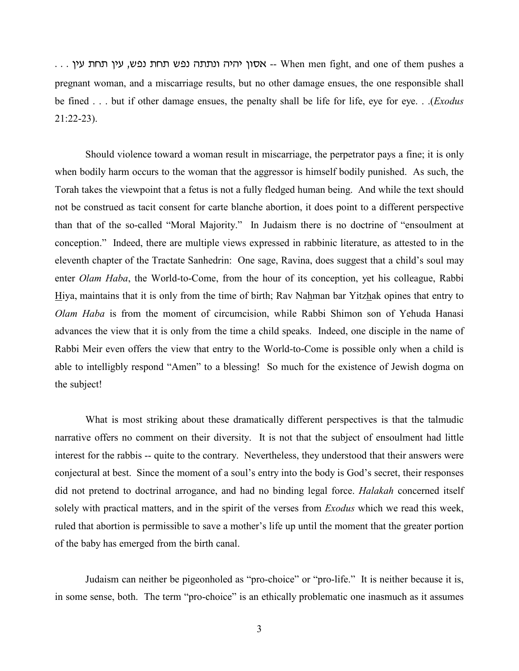$\ldots$ ) אסון יהיה ונתתה נפש תחת נפש, עין תחת עין -- When men fight, and one of them pushes a pregnant woman, and a miscarriage results, but no other damage ensues, the one responsible shall be fined . . . but if other damage ensues, the penalty shall be life for life, eye for eye. . .(*Exodus* 21:22-23).

Should violence toward a woman result in miscarriage, the perpetrator pays a fine; it is only when bodily harm occurs to the woman that the aggressor is himself bodily punished. As such, the Torah takes the viewpoint that a fetus is not a fully fledged human being. And while the text should not be construed as tacit consent for carte blanche abortion, it does point to a different perspective than that of the so-called "Moral Majority." In Judaism there is no doctrine of "ensoulment at conception." Indeed, there are multiple views expressed in rabbinic literature, as attested to in the eleventh chapter of the Tractate Sanhedrin: One sage, Ravina, does suggest that a child's soul may enter *Olam Haba*, the World-to-Come, from the hour of its conception, yet his colleague, Rabbi Hiya, maintains that it is only from the time of birth; Rav Nahman bar Yitzhak opines that entry to *Olam Haba* is from the moment of circumcision, while Rabbi Shimon son of Yehuda Hanasi advances the view that it is only from the time a child speaks. Indeed, one disciple in the name of Rabbi Meir even offers the view that entry to the World-to-Come is possible only when a child is able to intelligbly respond "Amen" to a blessing! So much for the existence of Jewish dogma on the subject!

What is most striking about these dramatically different perspectives is that the talmudic narrative offers no comment on their diversity. It is not that the subject of ensoulment had little interest for the rabbis -- quite to the contrary. Nevertheless, they understood that their answers were conjectural at best. Since the moment of a soul's entry into the body is God's secret, their responses did not pretend to doctrinal arrogance, and had no binding legal force. *Halakah* concerned itself solely with practical matters, and in the spirit of the verses from *Exodus* which we read this week, ruled that abortion is permissible to save a mother's life up until the moment that the greater portion of the baby has emerged from the birth canal.

Judaism can neither be pigeonholed as "pro-choice" or "pro-life." It is neither because it is, in some sense, both. The term "pro-choice" is an ethically problematic one inasmuch as it assumes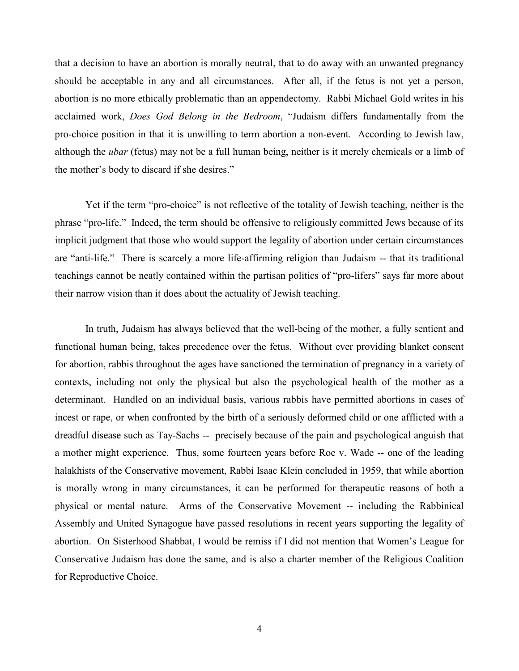that a decision to have an abortion is morally neutral, that to do away with an unwanted pregnancy should be acceptable in any and all circumstances. After all, if the fetus is not yet a person, abortion is no more ethically problematic than an appendectomy. Rabbi Michael Gold writes in his acclaimed work, *Does God Belong in the Bedroom*, "Judaism differs fundamentally from the pro-choice position in that it is unwilling to term abortion a non-event. According to Jewish law, although the *ubar* (fetus) may not be a full human being, neither is it merely chemicals or a limb of the mother's body to discard if she desires."

Yet if the term "pro-choice" is not reflective of the totality of Jewish teaching, neither is the phrase "pro-life." Indeed, the term should be offensive to religiously committed Jews because of its implicit judgment that those who would support the legality of abortion under certain circumstances are "anti-life." There is scarcely a more life-affirming religion than Judaism -- that its traditional teachings cannot be neatly contained within the partisan politics of "pro-lifers" says far more about their narrow vision than it does about the actuality of Jewish teaching.

In truth, Judaism has always believed that the well-being of the mother, a fully sentient and functional human being, takes precedence over the fetus. Without ever providing blanket consent for abortion, rabbis throughout the ages have sanctioned the termination of pregnancy in a variety of contexts, including not only the physical but also the psychological health of the mother as a determinant. Handled on an individual basis, various rabbis have permitted abortions in cases of incest or rape, or when confronted by the birth of a seriously deformed child or one afflicted with a dreadful disease such as Tay-Sachs -- precisely because of the pain and psychological anguish that a mother might experience. Thus, some fourteen years before Roe v. Wade -- one of the leading halakhists of the Conservative movement, Rabbi Isaac Klein concluded in 1959, that while abortion is morally wrong in many circumstances, it can be performed for therapeutic reasons of both a physical or mental nature. Arms of the Conservative Movement -- including the Rabbinical Assembly and United Synagogue have passed resolutions in recent years supporting the legality of abortion. On Sisterhood Shabbat, I would be remiss if I did not mention that Women's League for Conservative Judaism has done the same, and is also a charter member of the Religious Coalition for Reproductive Choice.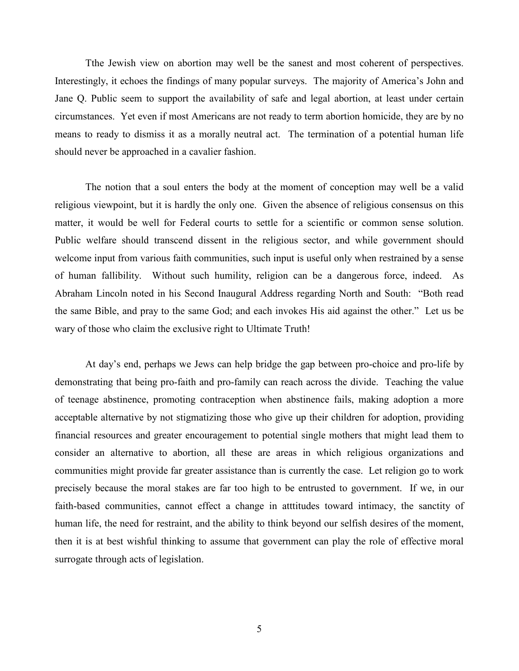Tthe Jewish view on abortion may well be the sanest and most coherent of perspectives. Interestingly, it echoes the findings of many popular surveys. The majority of America's John and Jane Q. Public seem to support the availability of safe and legal abortion, at least under certain circumstances. Yet even if most Americans are not ready to term abortion homicide, they are by no means to ready to dismiss it as a morally neutral act. The termination of a potential human life should never be approached in a cavalier fashion.

The notion that a soul enters the body at the moment of conception may well be a valid religious viewpoint, but it is hardly the only one. Given the absence of religious consensus on this matter, it would be well for Federal courts to settle for a scientific or common sense solution. Public welfare should transcend dissent in the religious sector, and while government should welcome input from various faith communities, such input is useful only when restrained by a sense of human fallibility. Without such humility, religion can be a dangerous force, indeed. As Abraham Lincoln noted in his Second Inaugural Address regarding North and South: "Both read the same Bible, and pray to the same God; and each invokes His aid against the other." Let us be wary of those who claim the exclusive right to Ultimate Truth!

At day's end, perhaps we Jews can help bridge the gap between pro-choice and pro-life by demonstrating that being pro-faith and pro-family can reach across the divide. Teaching the value of teenage abstinence, promoting contraception when abstinence fails, making adoption a more acceptable alternative by not stigmatizing those who give up their children for adoption, providing financial resources and greater encouragement to potential single mothers that might lead them to consider an alternative to abortion, all these are areas in which religious organizations and communities might provide far greater assistance than is currently the case. Let religion go to work precisely because the moral stakes are far too high to be entrusted to government. If we, in our faith-based communities, cannot effect a change in attitudes toward intimacy, the sanctity of human life, the need for restraint, and the ability to think beyond our selfish desires of the moment, then it is at best wishful thinking to assume that government can play the role of effective moral surrogate through acts of legislation.